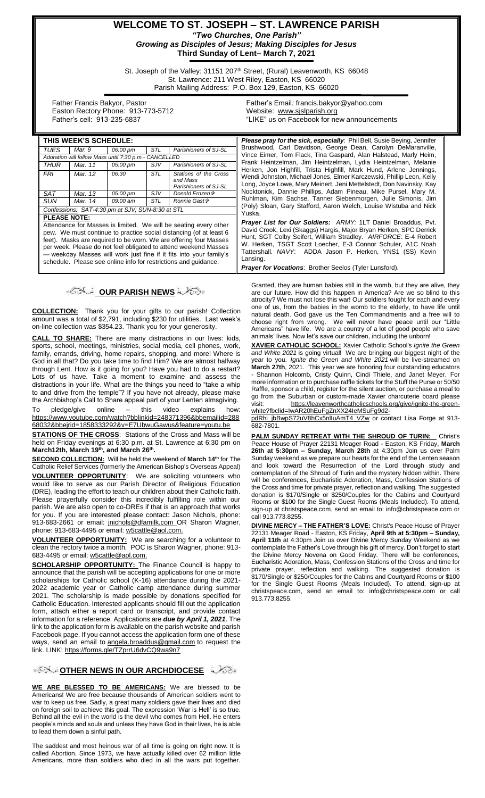#### **WELCOME TO ST. JOSEPH – ST. LAWRENCE PARISH** *"Two Churches, One Parish" Growing as Disciples of Jesus; Making Disciples for Jesus* **Third Sunday of Lent– March 7, 2021**

St. Joseph of the Valley: 31151 207<sup>th</sup> Street, (Rural) Leavenworth, KS 66048 St. Lawrence: 211 West Riley, Easton, KS 66020 Parish Mailing Address: P.O. Box 129, Easton, KS 66020

 Father Francis Bakyor, Pastor Easton Rectory Phone: 913-773-5712 Father's cell: 913-235-6837

Father's Email*:* francis.bakyor@yahoo.com Website: [www.sjslparish.org](http://www.sjslparish.org/) "LIKE" us on Facebook for new announcements

| THIS WEEK'S SCHEDULE:                                                                                                                                                                                                                                                                                                                                                                                                                          |         |                    |            |                                                            | Please pray for the sick, especially: Phil Bell, Susie Beying, Jennifer                                                                                                                                                                                                                                                                                                                                               |
|------------------------------------------------------------------------------------------------------------------------------------------------------------------------------------------------------------------------------------------------------------------------------------------------------------------------------------------------------------------------------------------------------------------------------------------------|---------|--------------------|------------|------------------------------------------------------------|-----------------------------------------------------------------------------------------------------------------------------------------------------------------------------------------------------------------------------------------------------------------------------------------------------------------------------------------------------------------------------------------------------------------------|
| TUES                                                                                                                                                                                                                                                                                                                                                                                                                                           | Mar. 9  | 06:00 pm           | STL        | Parishioners of SJ-SL                                      | Brushwood, Carl Davidson, George Dean, Carolyn DeMaranville,                                                                                                                                                                                                                                                                                                                                                          |
| Adoration will follow Mass until 7:30 p.m.- CANCELLED                                                                                                                                                                                                                                                                                                                                                                                          |         |                    |            |                                                            | Vince Eimer, Tom Flack, Tina Gaspard, Alan Halstead, Marly Heim,                                                                                                                                                                                                                                                                                                                                                      |
| THUR                                                                                                                                                                                                                                                                                                                                                                                                                                           | Mar. 11 | 05:00 pm           | SJV        | Parishioners of SJ-SL                                      | Frank Heintzelman, Jim Heintzelman, Lydia Heintzelman, Melanie<br>Herken, Jon Highfill, Trista Highfill, Mark Hund, Arlene Jennings,<br>Wendi Johnston, Michael Jones, Elmer Karczewski, Phillip Leon, Kelly<br>Long, Joyce Lowe, Mary Meinert, Jeni Mettelstedt, Don Navinsky, Kay<br>Nocktonick, Dannie Phillips, Adam Pineau, Mike Pursel, Mary M.<br>Ruhlman, Kim Sachse, Tanner Siebenmorgen, Julie Simonis, Jim |
| FRI                                                                                                                                                                                                                                                                                                                                                                                                                                            | Mar. 12 | 06:30              | <b>STL</b> | Stations of the Cross<br>and Mass<br>Parishioners of SJ-SL |                                                                                                                                                                                                                                                                                                                                                                                                                       |
| <b>SAT</b>                                                                                                                                                                                                                                                                                                                                                                                                                                     | Mar. 13 | 05:00 pm           | SJV        | Donald Ernzen &                                            |                                                                                                                                                                                                                                                                                                                                                                                                                       |
| <b>SUN</b>                                                                                                                                                                                                                                                                                                                                                                                                                                     | Mar. 14 | $09:00 \text{ am}$ | STL        | Ronnie Gast†                                               |                                                                                                                                                                                                                                                                                                                                                                                                                       |
| Confessions: SAT-4:30 pm at SJV; SUN-8:30 at STL                                                                                                                                                                                                                                                                                                                                                                                               |         |                    |            |                                                            | (Poly) Sloan, Gary Stafford, Aaron Welch, Louise Wistuba and Nick<br>Yuska.                                                                                                                                                                                                                                                                                                                                           |
| <b>PLEASE NOTE:</b><br>Attendance for Masses is limited. We will be seating every other<br>pew. We must continue to practice social distancing (of at least 6<br>feet). Masks are required to be worn. We are offering four Masses<br>per week. Please do not feel obligated to attend weekend Masses<br>- weekday Masses will work just fine if it fits into your family's<br>schedule. Please see online info for restrictions and quidance. |         |                    |            |                                                            | <b>Prayer List for Our Soldiers:</b> ARMY: 1LT Daniel Broaddus, Pvt.<br>David Crook, Lexi (Skaggs) Hargis, Major Bryan Herken, SPC Derrick<br>Hunt, SGT Colby Seifert, William Stradley. AIRFORCE: E-4 Robert<br>W. Herken, TSGT Scott Loecher, E-3 Connor Schuler, A1C Noah<br>Tattershall. NAVY: ADDA Jason P. Herken, YNS1 (SS) Kevin<br>Lansing.                                                                  |
|                                                                                                                                                                                                                                                                                                                                                                                                                                                |         |                    |            |                                                            | <b>Prayer for Vocations:</b> Brother Seelos (Tyler Lunsford).                                                                                                                                                                                                                                                                                                                                                         |

### **OUR PARISH NEWS**

**COLLECTION:** Thank you for your gifts to our parish! Collection amount was a total of \$2,791, including \$230 for utilities. Last week's on-line collection was \$354.23. Thank you for your generosity.

**CALL TO SHARE:** There are many distractions in our lives: kids, sports, school, meetings, ministries, social media, cell phones, work, family, errands, driving, home repairs, shopping, and more! Where is God in all that? Do you take time to find Him? We are almost halfway through Lent. How is it going for you? Have you had to do a restart? Lots of us have. Take a moment to examine and assess the distractions in your life. What are the things you need to "take a whip to and drive from the temple"? If you have not already, please make the Archbishop's Call to Share appeal part of your Lenten almsgiving. To pledge/give online – this video explains how: [https://www.youtube.com/watch?bblinkid=248371396&bbemailid=288](https://www.youtube.com/watch?bblinkid=248371396&bbemailid=28868032&bbejrid=1858333292&v=E7UbwuGawus&feature=youtu.be) [68032&bbejrid=1858333292&v=E7UbwuGawus&feature=youtu.be](https://www.youtube.com/watch?bblinkid=248371396&bbemailid=28868032&bbejrid=1858333292&v=E7UbwuGawus&feature=youtu.be)

**STATIONS OF THE CROSS**: Stations of the Cross and Mass will be held on Friday evenings at 6:30 p.m. at St. Lawrence at 6:30 pm on **March12th, March 19th, and March 26th .**

**SECOND COLLECTION:** Will be held the weekend of **March 14th** for The Catholic Relief Services (formerly the American Bishop's Overseas Appeal) **VOLUNTEER OPPORTUNITY**: We are soliciting volunteers who would like to serve as our Parish Director of Religious Education

(DRE), leading the effort to teach our children about their Catholic faith. Please prayerfully consider this incredibly fulfilling role within our parish. We are also open to co-DREs if that is an approach that works for you. If you are interested please contact: Jason Nichols, phone: 913-683-2661 or email: [jnichols@dfamilk.com](mailto:jnichols@dfamilk.com)\_OR Sharon Wagner, phone: 913-683-4495 or email: [w5cattle@aol.com.](mailto:w5cattle@aol.com)

**VOLUNTEER OPPORTUNITY:** We are searching for a volunteer to clean the rectory twice a month. POC is Sharon Wagner, phone: 913- 683-4495 or email[: w5cattle@aol.com.](mailto:w5cattle@aol.com)

**SCHOLARSHIP OPPORTUNITY:** The Finance Council is happy to announce that the parish will be accepting applications for one or more scholarships for Catholic school (K-16) attendance during the 2021- 2022 academic year or Catholic camp attendance during summer 2021. The scholarship is made possible by donations specified for Catholic Education. Interested applicants should fill out the application form, attach either a report card or transcript, and provide contact information for a reference. Applications are *due by April 1, 2021*. The link to the application form is available on the parish website and parish Facebook page. If you cannot access the application form one of these ways, send an email to [angela.broaddus@gmail.com](mailto:angela.broaddus@gmail.com) to request the link. LINK: <https://forms.gle/TZprrU6dvCQ9wa9n7>

#### **[O](http://www.google.com/url?sa=i&rct=j&q=&esrc=s&source=images&cd=&cad=rja&uact=8&ved=0CAcQjRxqFQoTCL3M6dfYlskCFQfIYwodK-sMqA&url=http://www.clipartpanda.com/categories/corner-scroll-design&psig=AFQjCNEcNGu-GRs-N_tcfj31hDOCKS7EqQ&ust=1447823402338642)PPORTMER NEWS IN OUR ARCHDIOCESE**

**WE ARE BLESSED TO BE AMERICANS:** We are blessed to be Americans! We are free because thousands of American soldiers went to war to keep us free. Sadly, a great many soldiers gave their lives and died on foreign soil to achieve this goal. The expression 'War is Hell' is so true. Behind all the evil in the world is the devil who comes from Hell. He enters people's minds and souls and unless they have God in their lives, he is able to lead them down a sinful path.

The saddest and most heinous war of all time is going on right now. It is called Abortion. Since 1973, we have actually killed over 62 million little Americans, more than soldiers who died in all the wars put together.

Granted, they are human babies still in the womb, but they are alive, they are our future. How did this happen in America? Are we so blind to this atrocity? We must not lose this war! Our soldiers fought for each and every one of us, from the babies in the womb to the elderly, to have life until natural death. God gave us the Ten Commandments and a free will to choose right from wrong. We will never have peace until our "Little Americans" have life. We are a country of a lot of good people who save animals' lives. Now let's save our children, including the unborn!

**XAVIER CATHOLIC SCHOOL:** Xavier Catholic School's *Ignite the Green and White 2021* is going virtual! We are bringing our biggest night of the year to you. *Ignite the Green and White 2021* will be live-streamed on **March 27th**, 2021. This year we are honoring four outstanding educators - Shannon Holcomb, Cristy Quinn, Cindi Thiele, and Janet Meyer. For more information or to purchase raffle tickets for the Stuff the Purse or 50/50 Raffle, sponsor a child, register for the silent auction, or purchase a meal to go from the Suburban or custom-made Xavier charcuterie board please visit: [https://leavenworthcatholicschools.org/give/ignite-the-green](https://leavenworthcatholicschools.org/give/ignite-the-green-white?fbclid=IwAR20hEuFgZnXX24IeMSuFg9d2-pdRhi_jbBwpS72uV8hCx5nlIuAmT4_VZw)[white?fbclid=IwAR20hEuFgZnXX24IeMSuFg9d2-](https://leavenworthcatholicschools.org/give/ignite-the-green-white?fbclid=IwAR20hEuFgZnXX24IeMSuFg9d2-pdRhi_jbBwpS72uV8hCx5nlIuAmT4_VZw)

[pdRhi\\_jbBwpS72uV8hCx5nlIuAmT4\\_VZw](https://leavenworthcatholicschools.org/give/ignite-the-green-white?fbclid=IwAR20hEuFgZnXX24IeMSuFg9d2-pdRhi_jbBwpS72uV8hCx5nlIuAmT4_VZw) or contact Lisa Forge at 913- 682-7801.

**PALM SUNDAY RETREAT WITH THE SHROUD OF TURIN:** Christ's Peace House of Prayer 22131 Meager Road - Easton, KS Friday, **March 26th at 5:30pm – Sunday, March 28th** at 4:30pm Join us over Palm Sunday weekend as we prepare our hearts for the end of the Lenten season and look toward the Resurrection of the Lord through study and contemplation of the Shroud of Turin and the mystery hidden within. There will be conferences, Eucharistic Adoration, Mass, Confession Stations of the Cross and time for private prayer, reflection and walking. The suggested donation is \$170/Single or \$250/Couples for the Cabins and Courtyard Rooms or \$100 for the Single Guest Rooms (Meals Included). To attend, sign-up at christspeace.com, send an email to: info@christspeace.com or call 913.773.8255.

**DIVINE MERCY – THE FATHER'S LOVE:** Christ's Peace House of Prayer 22131 Meager Road - Easton, KS Friday, **April 9th at 5:30pm – Sunday, April 11th** at 4:30pm Join us over Divine Mercy Sunday Weekend as we contemplate the Father's Love through his gift of mercy. Don't forget to start the Divine Mercy Novena on Good Friday. There will be conferences, Eucharistic Adoration, Mass, Confession Stations of the Cross and time for private prayer, reflection and walking. The suggested donation is \$170/Single or \$250/Couples for the Cabins and Courtyard Rooms or \$100 for the Single Guest Rooms (Meals Included). To attend, sign-up at christspeace.com, send an email to: info@christspeace.com or call 913.773.8255.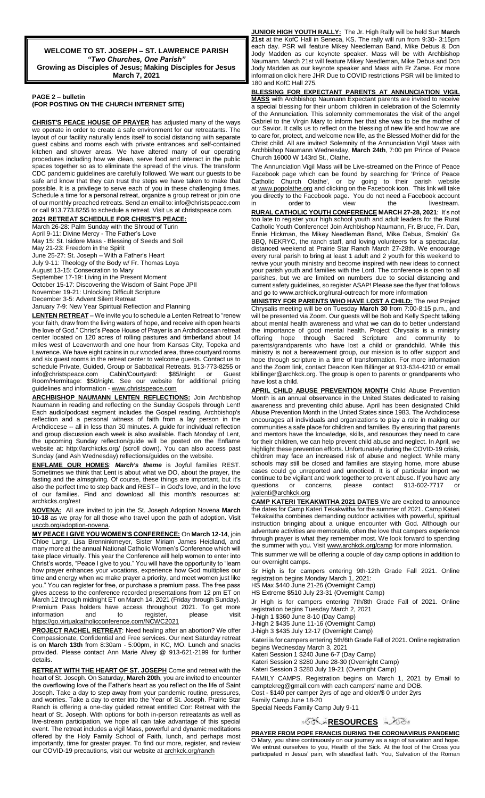**WELCOME TO ST. JOSEPH – ST. LAWRENCE PARISH** *"Two Churches, One Parish"* **Growing as Disciples of Jesus; Making Disciples for Jesus March 7, 2021**

#### **PAGE 2 – bulletin (FOR POSTING ON THE CHURCH INTERNET SITE)**

**CHRIST'S PEACE HOUSE OF PRAYER** has adjusted many of the ways we operate in order to create a safe environment for our retreatants. The layout of our facility naturally lends itself to social distancing with separate guest cabins and rooms each with private entrances and self-contained kitchen and shower areas. We have altered many of our operating procedures including how we clean, serve food and interact in the public spaces together so as to eliminate the spread of the virus. The transform CDC pandemic guidelines are carefully followed. We want our guests to be safe and know that they can trust the steps we have taken to make that possible. It is a privilege to serve each of you in these challenging times. Schedule a time for a personal retreat, organize a group retreat or join one of our monthly preached retreats. Send an email to: info@christspeace.com or call 913.773.8255 to schedule a retreat. Visit us at christspeace.com.

**2021 RETREAT SCHEDULE FOR CHRIST'S PEACE:**

March 26-28: Palm Sunday with the Shroud of Turin

April 9-11: Divine Mercy - The Father's Love May 15: St. Isidore Mass - Blessing of Seeds and Soil May 21-23: Freedom in the Spirit June 25-27: St. Joseph – With a Father's Heart July 9-11: Theology of the Body w/ Fr. Thomas Loya August 13-15: Consecration to Mary September 17-19: Living in the Present Moment October 15-17: Discovering the Wisdom of Saint Pope JPII November 19-21: Unlocking Difficult Scripture December 3-5: Advent Silent Retreat January 7-9: New Year Spiritual Reflection and Planning

**LENTEN RETREAT** – We invite you to schedule a Lenten Retreat to "renew your faith, draw from the living waters of hope, and receive with open hearts the love of God." Christ's Peace House of Prayer is an Archdiocesan retreat center located on 120 acres of rolling pastures and timberland about 14 miles west of Leavenworth and one hour from Kansas City, Topeka and Lawrence. We have eight cabins in our wooded area, three courtyard rooms and six guest rooms in the retreat center to welcome guests. Contact us to schedule Private, Guided, Group or Sabbatical Retreats. 913-773-8255 or info@christspeace.com Cabin/Courtyard: \$85/night or Guest Room/Hermitage: \$50/night. See our website for additional pricing guidelines and information - [www.christspeace.com](http://www.christspeace.com/)

**ARCHBISHOP NAUMANN LENTEN REFLECTIONS:** Join Archbishop Naumann in reading and reflecting on the Sunday Gospels through Lent! Each audio/podcast segment includes the Gospel reading, Archbishop's reflection and a personal witness of faith from a lay person in the Archdiocese -- all in less than 30 minutes. A guide for individual reflection and group discussion each week is also available. Each Monday of Lent, the upcoming Sunday reflection/guide will be posted on the Enflame website at: http://archkcks.org/ (scroll down). You can also access past Sunday (and Ash Wednesday) reflections/guides on the website.

**ENFLAME OUR HOMES**: *March's theme* is Joyful families REST. Sometimes we think that Lent is about what we DO, about the prayer, the fasting and the almsgiving. Of course, these things are important, but it's also the perfect time to step back and REST-- in God's love, and in the love of our families. Find and download all this month's resources at: archkcks.org/rest

**NOVENA:** All are invited to join the St. Joseph Adoption Novena **March 10-18** as we pray for all those who travel upon the path of adoption. Visit usccb.org/adoption-novena.

**MY PEACE I GIVE YOU WOMEN'S CONFERENCE:** On **March 12-14**, join Chloe Langr, Lisa Brenninkmeyer, Sister Miriam James Heidland, and many more at the annual National Catholic Women's Conference which will take place virtually. This year the Conference will help women to enter into Christ's words, "Peace I give to you." You will have the opportunity to "learn how prayer enhances your vocations, experience how God multiplies our time and energy when we make prayer a priority, and meet women just like you." You can register for free, or purchase a premium pass. The free pass gives access to the conference recorded presentations from 12 pm ET on March 12 through midnight ET on March 14, 2021 (Friday through Sunday). Premium Pass holders have access throughout 2021. To get more<br>information and to register, please visit information and to register, please visit <https://go.virtualcatholicconference.com/NCWC2021>

**PROJECT RACHEL RETREAT**: Need healing after an abortion? We offer Compassionate, Confidential and Free services. Our next Saturday retreat is on **March 13th** from 8:30am - 5:00pm, in KC, MO. Lunch and snacks provided. Please contact Ann Marie Alvey @ 913-621-2199 for further details.

**RETREAT WITH THE HEART OF ST. JOSEPH** Come and retreat with the heart of St. Joseph. On Saturday, **March 20th**, you are invited to encounter the overflowing love of the Father's heart as you reflect on the life of Saint Joseph. Take a day to step away from your pandemic routine, pressures, and worries. Take a day to enter into the Year of St. Joseph. Prairie Star Ranch is offering a one-day guided retreat entitled Cor: Retreat with the heart of St. Joseph. With options for both in-person retreatants as well as live-stream participation, we hope all can take advantage of this special event. The retreat includes a vigil Mass, powerful and dynamic meditations offered by the Holy Family School of Faith, lunch, and perhaps most importantly, time for greater prayer. To find our more, register, and review our COVID-19 precautions, visit our website at archkck.org/ranch

**JUNIOR HIGH YOUTH RALLY:** The Jr. High Rally will be held Sun **March 21st** at the KofC Hall in Seneca, KS. The rally will run from 9:30- 3:15pm each day. PSR will feature Mikey Needleman Band, Mike Debus & Dcn Jody Madden as our keynote speaker. Mass will be with Archbishop Naumann. March 21st will feature Mikey Needleman, Mike Debus and Dcn Jody Madden as our keynote speaker and Mass with Fr Zarse. For more information click here JHR Due to COVID restrictions PSR will be limited to 180 and KofC Hall 275.

**BLESSING FOR EXPECTANT PARENTS AT ANNUNCIATION VIGIL MASS** with Archbishop Naumann Expectant parents are invited to receive a special blessing for their unborn children in celebration of the Solemnity of the Annunciation. This solemnity commemorates the visit of the angel Gabriel to the Virgin Mary to inform her that she was to be the mother of our Savior. It calls us to reflect on the blessing of new life and how we are to care for, protect, and welcome new life, as the Blessed Mother did for the Christ child. All are invited! Solemnity of the Annunciation Vigil Mass with Archbishop Naumann Wednesday, **March 24th**, 7:00 pm Prince of Peace Church 16000 W 143rd St., Olathe.

The Annunciation Vigil Mass will be Live-streamed on the Prince of Peace Facebook page which can be found by searching for 'Prince of Peace Catholic Church Olathe', or by going to their parish website at [www.popolathe.org](http://www.popolathe.org/) and clicking on the Facebook icon. This link will take you directly to the Facebook page. You do not need a Facebook account in order to view the livestream.

**RURAL CATHOLIC YOUTH CONFERENCE MARCH 27-28, 2021**: It's not too late to register your high school youth and adult leaders for the Rural Catholic Youth Conference! Join Archbishop Naumann, Fr. Bruce, Fr. Dan, Ennie Hickman, the Mikey Needleman Band, Mike Debus, Smokin' BBQ, NEKRYC, the ranch staff, and loving volunteers for a spectacular, distanced weekend at Prairie Star Ranch March 27-28th. We encourage every rural parish to bring at least 1 adult and 2 youth for this weekend to revive your youth ministry and become inspired with new ideas to connect your parish youth and families with the Lord. The conference is open to all parishes, but we are limited on numbers due to social distancing and current safety guidelines, so register ASAP! Please see the flyer that follows and go to www.archkck.org/rural-outreach for more information

**MINISTRY FOR PARENTS WHO HAVE LOST A CHILD:** The next Project Chrysalis meeting will be on Tuesday **March 30** from 7:00-8:15 p.m., and will be presented via Zoom. Our guests will be Bob and Kelly Specht talking about mental health awareness and what we can do to better understand the importance of good mental health. Project Chrysalis is a ministry offering hope through Sacred Scripture and community to parents/grandparents who have lost a child or grandchild. While this ministry is not a bereavement group, our mission is to offer support and hope through scripture in a time of transformation. For more information and the Zoom link, contact Deacon Ken Billinger at 913-634-4210 or email kbillinger@archkck.org. The group is open to parents or grandparents who have lost a child.

**APRIL CHILD ABUSE PREVENTION MONTH** Child Abuse Prevention Month is an annual observance in the United States dedicated to raising awareness and preventing child abuse. April has been designated Child Abuse Prevention Month in the United States since 1983. The Archdiocese encourages all individuals and organizations to play a role in making our communities a safe place for children and families. By ensuring that parents and mentors have the knowledge, skills, and resources they need to care for their children, we can help prevent child abuse and neglect. In April, we highlight these prevention efforts. Unfortunately during the COVID-19 crisis, children may face an increased risk of abuse and neglect. While many schools may still be closed and families are staying home, more abuse cases could go unreported and unnoticed. It is of particular import we continue to be vigilant and work together to prevent abuse. If you have any questions or concerns, please contact 913-602-7717 jvalenti@archkck.org

**CAMP KATERI TEKAKWITHA 2021 DATES** We are excited to announce the dates for Camp Kateri Tekakwitha for the summer of 2021. Camp Kateri Tekakwitha combines demanding outdoor activities with powerful, spiritual instruction bringing about a unique encounter with God. Although our adventure activities are memorable, often the love that campers experience through prayer is what they remember most. We look forward to spending the summer with you. Visit www.archkck.org/camp for more information.

This summer we will be offering a couple of day camp options in addition to our overnight camps.

Sr High is for campers entering 9th-12th Grade Fall 2021. Online registration begins Monday March 1, 2021:

HS Max \$440 June 21-26 (Overnight Camp)

HS Extreme \$510 July 23-31 (Overnight Camp)

Jr High is for campers entering 7th/8th Grade Fall of 2021. Online registration begins Tuesday March 2, 2021

J-high 1 \$360 June 8-10 (Day Camp)

J-high 2 \$435 June 11-16 (Overnight Camp) J-high 3 \$435 July 12-17 (Overnight Camp)

Kateri is for campers entering 5th/6th Grade Fall of 2021. Online registration begins Wednesday March 3, 2021

Kateri Session 1 \$240 June 6-7 (Day Camp)

Kateri Session 2 \$280 June 28-30 (Overnight Camp)

Kateri Session 3 \$280 July 19-21 (Overnight Camp)

FAMILY CAMPS. Registration begins on March 1, 2021 by Email to camptekreg@gmail.com with each campers' name and DOB. Cost - \$140 per camper 2yrs of age and older/\$ 0 under 2yrs Family Camp June 18-20

Special Needs Family Camp July 9-11

### **[R](http://www.google.com/url?sa=i&rct=j&q=&esrc=s&source=images&cd=&cad=rja&uact=8&ved=0CAcQjRxqFQoTCL3M6dfYlskCFQfIYwodK-sMqA&url=http://www.clipartpanda.com/categories/corner-scroll-design&psig=AFQjCNEcNGu-GRs-N_tcfj31hDOCKS7EqQ&ust=1447823402338642)ESOURCES**

**PRAYER FROM POPE FRANCIS DURING THE CORONAVIRUS PANDEMIC** O Mary, you shine continuously on our journey as a sign of salvation and hope. We entrust ourselves to you, Health of the Sick. At the foot of the Cross you participated in Jesus' pain, with steadfast faith. You, Salvation of the Roman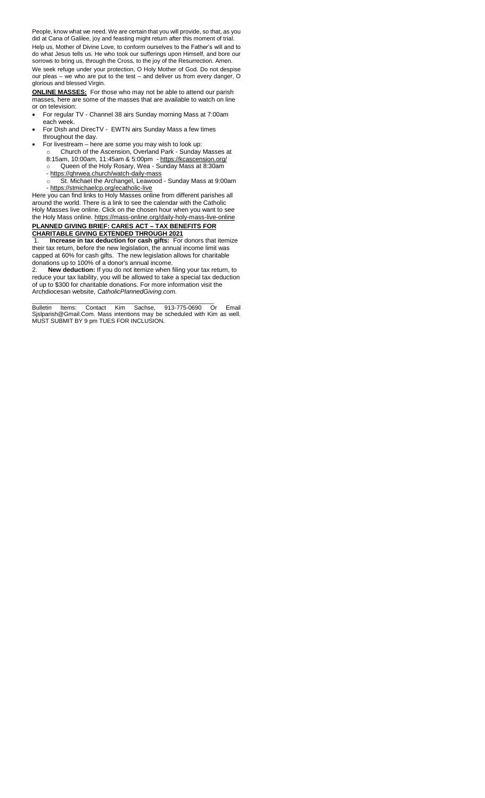People, know what we need. We are certain that you will provide, so that, as you did at Cana of Galilee, joy and feasting might return after this moment of trial. Help us, Mother of Divine Love, to conform ourselves to the Father's will and to do what Jesus tells us. He who took our sufferings upon Himself, and bore our sorrows to bring us, through the Cross, to the joy of the Resurrection. Amen. We seek refuge under your protection, O Holy Mother of God. Do not despise our pleas – we who are put to the test – and deliver us from every danger, O glorious and blessed Virgin.

**ONLINE MASSES:** For those who may not be able to attend our parish masses, here are some of the masses that are available to watch on line or on television:

- For regular TV Channel 38 airs Sunday morning Mass at 7:00am each week.
- For Dish and DirecTV EWTN airs Sunday Mass a few times throughout the day.
- For livestream here are some you may wish to look up:
	- o Church of the Ascension, Overland Park Sunday Masses at 8:15am, 10:00am, 11:45am & 5:00pm - <https://kcascension.org/> o Queen of the Holy Rosary, Wea - Sunday Mass at 8:30am
	- <https://qhrwea.church/watch-daily-mass>
	- o St. Michael the Archangel, Leawood Sunday Mass at 9:00am - <https://stmichaelcp.org/ecatholic-live>

Here you can find links to Holy Masses online from different parishes all around the world. There is a link to see the calendar with the Catholic Holy Masses live online. Click on the chosen hour when you want to see the Holy Mass online[. https://mass-online.org/daily-holy-mass-live-online](https://mass-online.org/daily-holy-mass-live-online)

#### **PLANNED GIVING BRIEF: CARES ACT – TAX BENEFITS FOR CHARITABLE GIVING EXTENDED THROUGH 2021**

1. **Increase in tax deduction for cash gifts:** For donors that itemize their tax return, before the new legislation, the annual income limit was capped at 60% for cash gifts. The new legislation allows for charitable donations up to 100% of a donor's annual income.

2. **New deduction:** If you do not itemize when filing your tax return, to reduce your tax liability, you will be allowed to take a special tax deduction of up to \$300 for charitable donations. For more information visit the Archdiocesan website, *CatholicPlannedGiving.com.*

\_\_\_\_\_\_\_\_\_\_\_\_\_\_\_\_\_\_\_\_\_\_\_\_\_\_\_\_\_\_\_\_\_\_\_\_\_\_\_\_\_\_\_\_\_\_\_\_\_\_\_\_\_\_\_ Bulletin Items: Contact Kim Sachse, 913-775-0690 Or Email Sjslparish@Gmail.Com. Mass intentions may be scheduled with Kim as well. MUST SUBMIT BY 9 pm TUES FOR INCLUSION.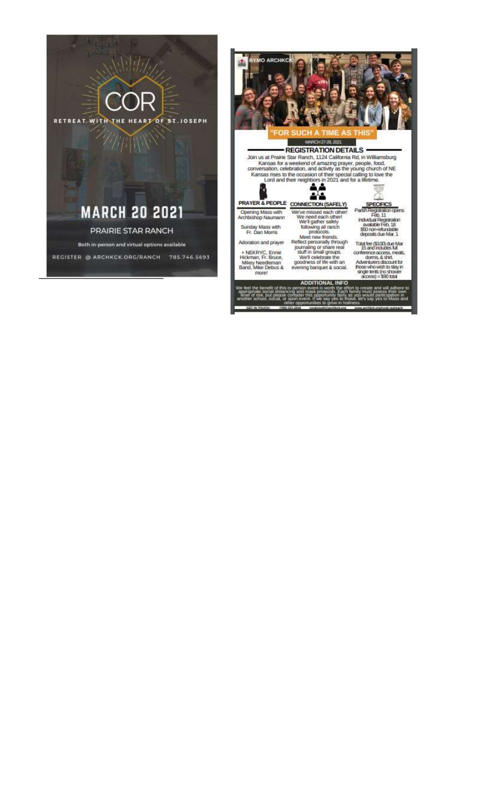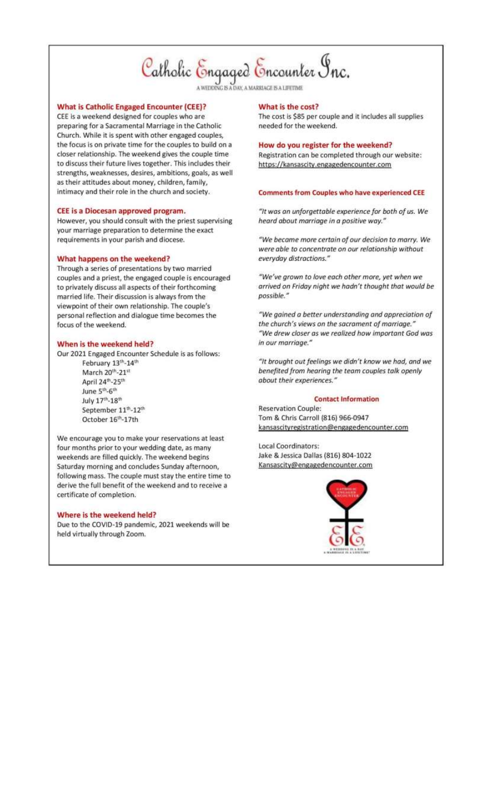# Catholic Engaged Encounter Inc.

AV. A MARRIAGE IS A LIFETIME

#### **What is Catholic Engaged Encounter (CEE)?**

CEE is a weekend designed for couples who are preparing for a Sacramental Marriage in the Catholic Church. While it is spent with other engaged couples, the focus is on private time for the couples to build on a closer relationship. The weekend gives the couple time to discuss their future lives together. This includes their strengths, weaknesses, desires, ambitions, goals, as well as their attitudes about money, children, family, intimacy and their role in the church and society.

#### CEE is a Diocesan approved program.

However, you should consult with the priest supervising your marriage preparation to determine the exact requirements in your parish and diocese.

#### What happens on the weekend?

Through a series of presentations by two married couples and a priest, the engaged couple is encouraged to privately discuss all aspects of their forthcoming married life. Their discussion is always from the viewpoint of their own relationship. The couple's personal reflection and dialogue time becomes the focus of the weekend.

#### When is the weekend held?

Our 2021 Engaged Encounter Schedule is as follows:

February 13th-14th March 20th-21st April 24th-25th June 5<sup>th</sup>-6<sup>th</sup> July 17th-18th September 11th-12th October 16th-17th

We encourage you to make your reservations at least four months prior to your wedding date, as many weekends are filled quickly. The weekend begins Saturday morning and concludes Sunday afternoon, following mass. The couple must stay the entire time to derive the full benefit of the weekend and to receive a certificate of completion.

#### Where is the weekend held?

Due to the COVID-19 pandemic, 2021 weekends will be held virtually through Zoom.

#### What is the cost?

The cost is \$85 per couple and it includes all supplies needed for the weekend.

#### How do you register for the weekend?

Registration can be completed through our website: https://kansascity.engagedencounter.com

#### **Comments from Couples who have experienced CEE**

"It was an unforgettable experience for both of us. We heard about marriage in a positive way."

"We became more certain of our decision to marry. We were able to concentrate on our relationship without everyday distractions."

"We've grown to love each other more, yet when we arrived on Friday night we hadn't thought that would be possible."

"We gained a better understanding and appreciation of the church's views on the sacrament of marriage." "We drew closer as we realized how important God was in our marriage."

"It brought out feelings we didn't know we had, and we benefited from hearing the team couples talk openly about their experiences."

#### **Contact Information**

**Reservation Couple:** Tom & Chris Carroll (816) 966-0947 kansascityregistration@engagedencounter.com

Local Coordinators: Jake & Jessica Dallas (816) 804-1022 Kansascity@engagedencounter.com

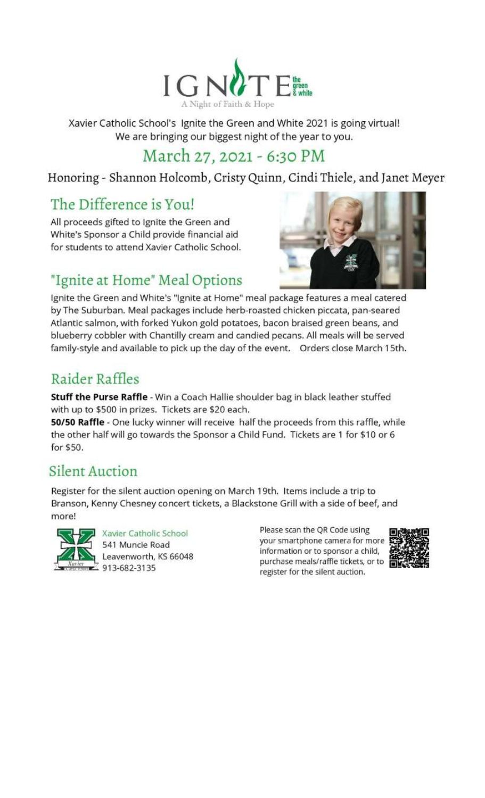

Xavier Catholic School's Ignite the Green and White 2021 is going virtual! We are bringing our biggest night of the year to you.

# March 27, 2021 - 6:30 PM

Honoring - Shannon Holcomb, Cristy Quinn, Cindi Thiele, and Janet Meyer

# The Difference is You!

All proceeds gifted to Ignite the Green and White's Sponsor a Child provide financial aid for students to attend Xavier Catholic School.



# "Ignite at Home" Meal Options

Ignite the Green and White's "Ignite at Home" meal package features a meal catered by The Suburban. Meal packages include herb-roasted chicken piccata, pan-seared Atlantic salmon, with forked Yukon gold potatoes, bacon braised green beans, and blueberry cobbler with Chantilly cream and candied pecans. All meals will be served family-style and available to pick up the day of the event. Orders close March 15th.

# Raider Raffles

Stuff the Purse Raffle - Win a Coach Hallie shoulder bag in black leather stuffed with up to \$500 in prizes. Tickets are \$20 each.

50/50 Raffle - One lucky winner will receive half the proceeds from this raffle, while the other half will go towards the Sponsor a Child Fund. Tickets are 1 for \$10 or 6 for \$50.

### **Silent Auction**

Register for the silent auction opening on March 19th. Items include a trip to Branson, Kenny Chesney concert tickets, a Blackstone Grill with a side of beef, and more!



Xavier Catholic School 541 Muncie Road Leavenworth, KS 66048  $-913 - 682 - 3135$ 

Please scan the QR Code using your smartphone camera for more information or to sponsor a child, purchase meals/raffle tickets, or to register for the silent auction.

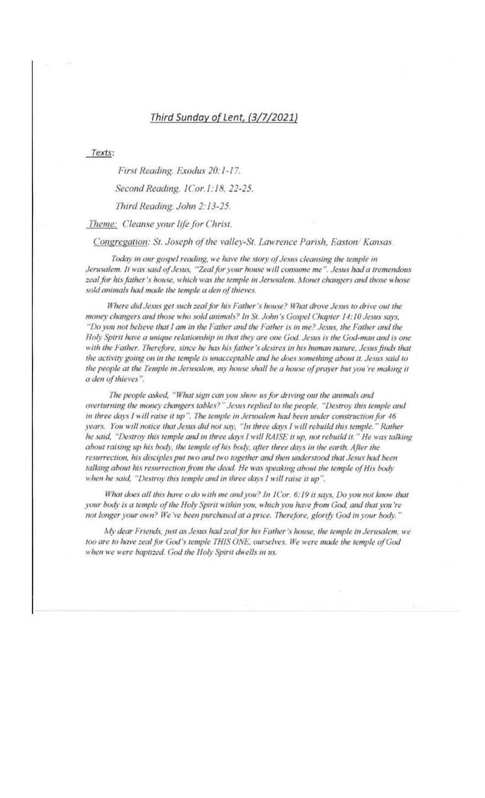### Third Sunday of Lent, (3/7/2021)

Texts:

First Reading. Exodus 20:1-17. Second Reading. 1Cor.1:18, 22-25. Third Reading. John 2:13-25. Theme: Cleanse your life for Christ.

Congregation: St. Joseph of the valley-St. Lawrence Parish, Easton/Kansas.

Today in our gospel reading, we have the story of Jesus cleansing the temple in Jerusalem. It was said of Jesus, "Zeal for your house will consume me". Jesus had a tremendous zeal for his father's house, which was the temple in Jerusalem. Monet changers and those whose sold animals had made the temple a den of thieves.

Where did Jesus get such zeal for his Father's house? What drove Jesus to drive out the money changers and those who sold animals? In St. John's Gospel Chapter 14:10 Jesus says, "Do you not believe that I am in the Father and the Father is in me? Jesus, the Father and the Holy Spirit have a unique relationship in that they are one God. Jesus is the God-man and is one with the Father. Therefore, since he has his father's desires in his human nature, Jesus finds that the activity going on in the temple is unacceptable and he does something about it. Jesus said to the people at the Temple in Jerusalem, my house shall be a house of prayer but you're making it a den of thieves".

The people asked, "What sign can you show us for driving out the animals and overturning the money changers tables?" Jesus replied to the people, "Destroy this temple and in three days I will raise it up". The temple in Jerusalem had been under construction for 46 years. You will notice that Jesus did not say, "In three days I will rebuild this temple." Rather he said, "Destroy this temple and in three days I will RAISE it up, not rebuild it." He was talking about raising up his body, the temple of his body, after three days in the earth. After the resurrection, his disciples put two and two together and then understood that Jesus had been talking about his resurrection from the dead. He was speaking about the temple of His body when he said, "Destroy this temple and in three days I will raise it up".

What does all this have o do with me and you? In ICor. 6:19 it says, Do you not know that your body is a temple of the Holy Spirit within you, which you have from God, and that you're not longer your own? We 've been purchased at a price. Therefore, glorify God in your body."

My dear Friends, just as Jesus had zeal for his Father's house, the temple in Jerusalem, we too are to have zeal for God's temple THIS ONE, ourselves. We were made the temple of God when we were baptized. God the Holy Spirit dwells in us.